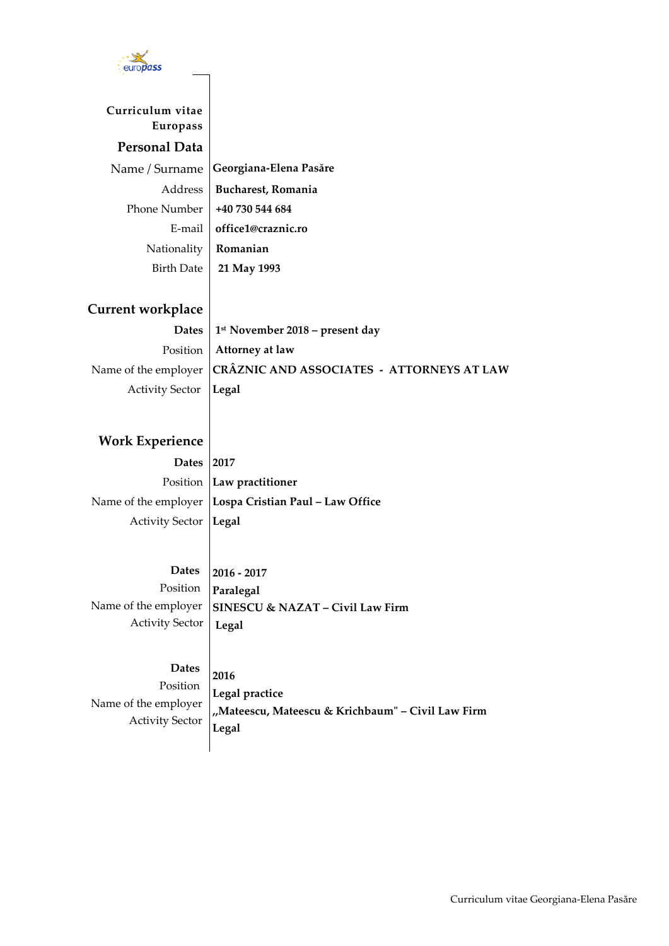

## **Curriculum vitae Europass Personal Data** Name / Surname **Georgiana-Elena Pasăre** Address **Bucharest, Romania** Phone Number **+40 730 544 684** E-mail **office1@craznic.ro** Nationality **Romanian** Birth Date **21 May 1993**

## **Current workplace**

**Dates 1 st November 2018 – present day** Position **Attorney at law** Name of the employer **CRÂZNIC AND ASSOCIATES - ATTORNEYS AT LAW** Activity Sector **Legal**

## **Work Experience**

**Dates 2017** Position **Law practitioner** Name of the employer **Lospa Cristian Paul – Law Office** Activity Sector **Legal**

 **Dates** Position Name of the employer Activity Sector **2016 - 2017 Paralegal SINESCU & NAZAT – Civil Law Firm Legal**

 **Dates**  Position Name of the employer Activity Sector **2016 Legal practice ,,Mateescu, Mateescu & Krichbaum" – Civil Law Firm Legal**